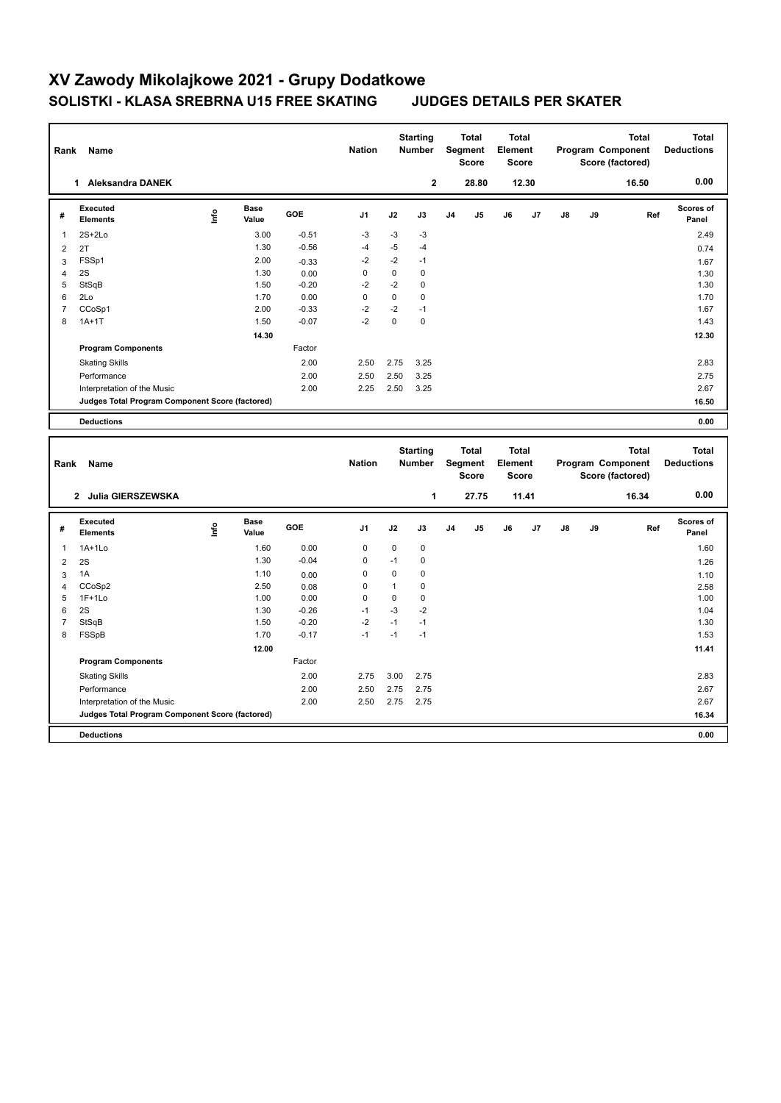## **XV Zawody Mikolajkowe 2021 - Grupy Dodatkowe SOLISTKI - KLASA SREBRNA U15 FREE SKATING JUDGES DETAILS PER SKATER**

| Rank                | Name                                            |      |                      |         | <b>Nation</b>  |                                            | <b>Starting</b><br><b>Number</b> |                           | <b>Total</b><br>Segment<br>Score | <b>Total</b><br>Element<br><b>Score</b> |                |    |    | <b>Total</b><br>Program Component<br>Score (factored) |     | <b>Total</b><br><b>Deductions</b> |
|---------------------|-------------------------------------------------|------|----------------------|---------|----------------|--------------------------------------------|----------------------------------|---------------------------|----------------------------------|-----------------------------------------|----------------|----|----|-------------------------------------------------------|-----|-----------------------------------|
|                     | 1 Aleksandra DANEK                              |      |                      |         |                |                                            | $\mathbf 2$                      |                           | 28.80                            |                                         | 12.30          |    |    | 16.50                                                 |     | 0.00                              |
| #                   | <b>Executed</b><br><b>Elements</b>              | ١nf٥ | <b>Base</b><br>Value | GOE     | J <sub>1</sub> | J2                                         | J3                               | J4                        | J <sub>5</sub>                   | J6                                      | J7             | J8 | J9 |                                                       | Ref | Scores of<br>Panel                |
| 1                   | $2S+2Lo$                                        |      | 3.00                 | $-0.51$ | $-3$           | $-3$                                       | $-3$                             |                           |                                  |                                         |                |    |    |                                                       |     | 2.49                              |
| $\overline{2}$      | 2T                                              |      | 1.30                 | $-0.56$ | $-4$           | $-5$                                       | $-4$                             |                           |                                  |                                         |                |    |    |                                                       |     | 0.74                              |
| 3                   | FSSp1                                           |      | 2.00                 | $-0.33$ | $-2$           | $-2$                                       | $-1$                             |                           |                                  |                                         |                |    |    |                                                       |     | 1.67                              |
| $\overline{4}$      | 2S                                              |      | 1.30                 | 0.00    | $\mathbf 0$    | $\pmb{0}$                                  | $\pmb{0}$                        |                           |                                  |                                         |                |    |    |                                                       |     | 1.30                              |
| 5                   | StSqB                                           |      | 1.50                 | $-0.20$ | $-2$           | $-2$                                       | $\mathbf 0$                      |                           |                                  |                                         |                |    |    |                                                       |     | 1.30                              |
| 6                   | 2Lo                                             |      | 1.70                 | 0.00    | $\Omega$       | $\Omega$                                   | $\Omega$                         |                           |                                  |                                         |                |    |    |                                                       |     | 1.70                              |
| $\overline{7}$<br>8 | CCoSp1                                          |      | 2.00                 | $-0.33$ | $-2$<br>$-2$   | $-2$<br>0                                  | $-1$<br>$\mathbf 0$              |                           |                                  |                                         |                |    |    |                                                       |     | 1.67                              |
|                     | $1A+1T$                                         |      | 1.50                 | $-0.07$ |                |                                            |                                  |                           |                                  |                                         |                |    |    |                                                       |     | 1.43                              |
|                     |                                                 |      | 14.30                |         |                |                                            |                                  |                           |                                  |                                         |                |    |    |                                                       |     | 12.30                             |
|                     | <b>Program Components</b>                       |      |                      | Factor  |                |                                            |                                  |                           |                                  |                                         |                |    |    |                                                       |     |                                   |
|                     | <b>Skating Skills</b>                           |      |                      | 2.00    | 2.50           | 2.75                                       | 3.25                             |                           |                                  |                                         |                |    |    |                                                       |     | 2.83                              |
|                     | Performance                                     |      |                      | 2.00    | 2.50           | 2.50                                       | 3.25                             |                           |                                  |                                         |                |    |    |                                                       |     | 2.75                              |
|                     | Interpretation of the Music                     |      |                      | 2.00    | 2.25           | 2.50                                       | 3.25                             |                           |                                  |                                         |                |    |    |                                                       |     | 2.67                              |
|                     | Judges Total Program Component Score (factored) |      |                      |         |                |                                            |                                  |                           |                                  |                                         |                |    |    |                                                       |     | 16.50                             |
|                     | <b>Deductions</b>                               |      |                      |         |                |                                            |                                  |                           |                                  |                                         |                |    |    |                                                       |     | 0.00                              |
|                     | Rank<br>Name                                    |      |                      |         |                | <b>Starting</b><br><b>Nation</b><br>Number |                                  | Total<br>Segment<br>Score |                                  |                                         |                |    |    |                                                       |     |                                   |
|                     |                                                 |      |                      |         |                |                                            |                                  |                           |                                  | <b>Total</b><br>Element<br><b>Score</b> |                |    |    | <b>Total</b><br>Program Component<br>Score (factored) |     | <b>Total</b><br><b>Deductions</b> |
|                     | 2 Julia GIERSZEWSKA                             |      |                      |         |                |                                            | 1                                |                           | 27.75                            |                                         | 11.41          |    |    | 16.34                                                 |     | 0.00                              |
| #                   | <b>Executed</b><br><b>Elements</b>              | ١nf٥ | <b>Base</b><br>Value | GOE     | J <sub>1</sub> | J2                                         | J3                               | J4                        | J5                               | J6                                      | J <sub>7</sub> | J8 | J9 |                                                       | Ref | Scores of<br>Panel                |
| $\mathbf{1}$        | 1A+1Lo                                          |      | 1.60                 | 0.00    | $\mathbf 0$    | 0                                          | 0                                |                           |                                  |                                         |                |    |    |                                                       |     | 1.60                              |
| $\overline{2}$      | 2S                                              |      | 1.30                 | $-0.04$ | $\mathbf 0$    | $-1$                                       | $\mathbf 0$                      |                           |                                  |                                         |                |    |    |                                                       |     | 1.26                              |
| 3                   | 1A                                              |      | 1.10                 | 0.00    | $\Omega$       | $\Omega$                                   | 0                                |                           |                                  |                                         |                |    |    |                                                       |     | 1.10                              |
| $\overline{4}$      | CCoSp2                                          |      | 2.50                 | 0.08    | $\mathbf 0$    | $\mathbf{1}$                               | $\mathbf 0$                      |                           |                                  |                                         |                |    |    |                                                       |     | 2.58                              |
| 5                   | $1F+1Lo$                                        |      | 1.00                 | 0.00    | $\mathbf 0$    | $\mathbf 0$                                | $\mathbf 0$                      |                           |                                  |                                         |                |    |    |                                                       |     | 1.00                              |
| 6                   | 2S                                              |      | 1.30                 | $-0.26$ | $-1$           | $-3$                                       | $-2$                             |                           |                                  |                                         |                |    |    |                                                       |     | 1.04                              |
| $\overline{7}$      | StSqB                                           |      | 1.50                 | $-0.20$ | $-2$           | $-1$                                       | $-1$                             |                           |                                  |                                         |                |    |    |                                                       |     | 1.30                              |
| 8                   | FSSpB                                           |      | 1.70                 | $-0.17$ | $-1$           | $-1$                                       | $-1$                             |                           |                                  |                                         |                |    |    |                                                       |     | 1.53                              |
|                     |                                                 |      | 12.00                |         |                |                                            |                                  |                           |                                  |                                         |                |    |    |                                                       |     | 11.41                             |
|                     | <b>Program Components</b>                       |      |                      | Factor  |                |                                            |                                  |                           |                                  |                                         |                |    |    |                                                       |     |                                   |
|                     | <b>Skating Skills</b>                           |      |                      | 2.00    | 2.75           | 3.00                                       | 2.75                             |                           |                                  |                                         |                |    |    |                                                       |     | 2.83                              |
|                     | Performance                                     |      |                      | 2.00    | 2.50           | 2.75                                       | 2.75                             |                           |                                  |                                         |                |    |    |                                                       |     | 2.67                              |
|                     | Interpretation of the Music                     |      |                      | 2.00    | 2.50           | 2.75                                       | 2.75                             |                           |                                  |                                         |                |    |    |                                                       |     | 2.67                              |
|                     | Judges Total Program Component Score (factored) |      |                      |         |                |                                            |                                  |                           |                                  |                                         |                |    |    |                                                       |     | 16.34                             |